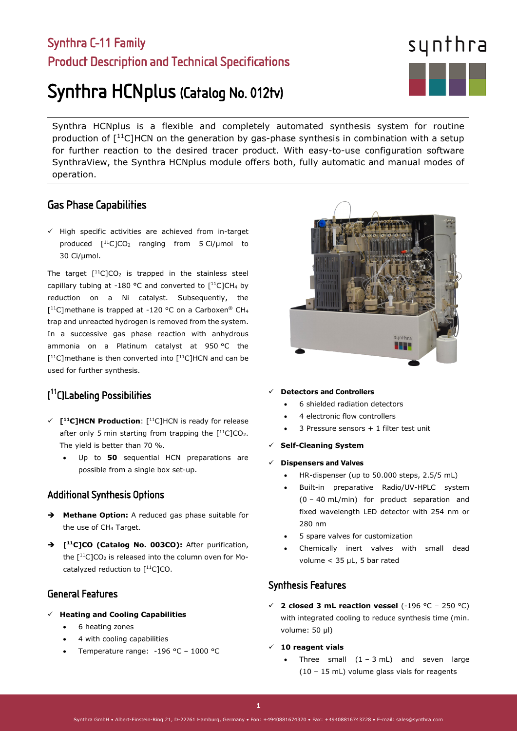## Synthra C-11 Family Product Description and Technical Specifications

# Synthra HCNplus (Catalog No. 012tv)

Synthra HCNplus is a flexible and completely automated synthesis system for routine production of  $[11C]$ HCN on the generation by gas-phase synthesis in combination with a setup for further reaction to the desired tracer product. With easy-to-use configuration software SynthraView, the Synthra HCNplus module offers both, fully automatic and manual modes of operation.

## Gas Phase Capabilities

 $\checkmark$  High specific activities are achieved from in-target produced  $[$ <sup>11</sup>C]CO<sub>2</sub> ranging from 5 Ci/µmol to 30 Ci/µmol.

The target  $[$ <sup>11</sup>C]CO<sub>2</sub> is trapped in the stainless steel capillary tubing at -180 °C and converted to  $[^{11}C]CH_4$  by reduction on a Ni catalyst. Subsequently, the  $[$ <sup>11</sup>C]methane is trapped at -120 °C on a Carboxen® CH<sub>4</sub> trap and unreacted hydrogen is removed from the system. In a successive gas phase reaction with anhydrous ammonia on a Platinum catalyst at 950 °C the  $[$ <sup>11</sup>C]methane is then converted into  $[$ <sup>11</sup>C]HCN and can be used for further synthesis.

## [ 11C]Labeling Possibilities

- **[11C]HCN Production**: [11C]HCN is ready for release after only 5 min starting from trapping the  $[11C]CO<sub>2</sub>$ . The yield is better than 70 %.
	- Up to **50** sequential HCN preparations are possible from a single box set-up.

## Additional Synthesis Options

- **Methane Option:** A reduced gas phase suitable for the use of CH4 Target.
- **[11C]CO (Catalog No. 003CO):** After purification, the  $[$ <sup>11</sup>C]CO<sub>2</sub> is released into the column oven for Mocatalyzed reduction to  $[$ <sup>11</sup>C]CO.

## General Features

- **Heating and Cooling Capabilities**
	- 6 heating zones
	- 4 with cooling capabilities
	- Temperature range: -196 °C 1000 °C

#### **Detectors and Controllers**

- 6 shielded radiation detectors
- 4 electronic flow controllers
- 3 Pressure sensors + 1 filter test unit
- **Self-Cleaning System**
- **Dispensers and Valves**
	- HR-dispenser (up to 50.000 steps, 2.5/5 mL)
	- Built-in preparative Radio/UV-HPLC system (0 – 40 mL/min) for product separation and fixed wavelength LED detector with 254 nm or 280 nm
	- 5 spare valves for customization
	- Chemically inert valves with small dead volume < 35 µL, 5 bar rated

## Synthesis Features

- $\checkmark$  **2 closed 3 mL reaction vessel** (-196 °C 250 °C) with integrated cooling to reduce synthesis time (min. volume: 50 µl)
- **10 reagent vials** 
	- Three small  $(1 3 mL)$  and seven large (10 – 15 mL) volume glass vials for reagents